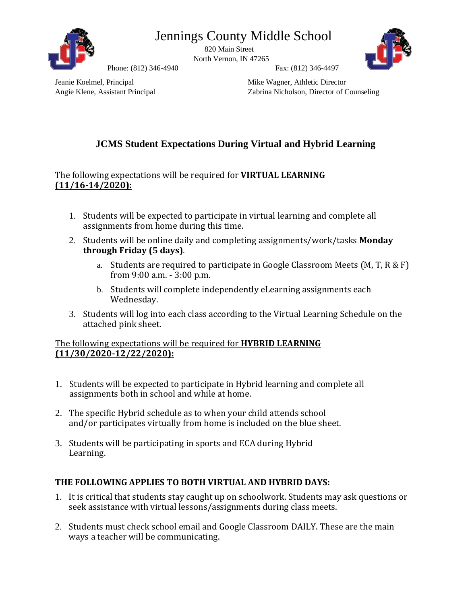



820 Main Street North Vernon, IN 47265



Phone: (812) 346-4940 Fax: (812) 346-4497

Jeanie Koelmel, Principal Mike Wagner, Athletic Director

Angie Klene, Assistant Principal Zabrina Nicholson, Director of Counseling

## **JCMS Student Expectations During Virtual and Hybrid Learning**

## The following expectations will be required for **VIRTUAL LEARNING (11/16-14/2020):**

- 1. Students will be expected to participate in virtual learning and complete all assignments from home during this time.
- 2. Students will be online daily and completing assignments/work/tasks **Monday through Friday (5 days)**.
	- a. Students are required to participate in Google Classroom Meets (M, T, R & F) from 9:00 a.m. - 3:00 p.m.
	- b. Students will complete independently eLearning assignments each Wednesday.
- 3. Students will log into each class according to the Virtual Learning Schedule on the attached pink sheet.

## The following expectations will be required for **HYBRID LEARNING (11/30/2020-12/22/2020):**

- 1. Students will be expected to participate in Hybrid learning and complete all assignments both in school and while at home.
- 2. The specific Hybrid schedule as to when your child attends school and/or participates virtually from home is included on the blue sheet.
- 3. Students will be participating in sports and ECA during Hybrid Learning.

## **THE FOLLOWING APPLIES TO BOTH VIRTUAL AND HYBRID DAYS:**

- 1. It is critical that students stay caught up on schoolwork. Students may ask questions or seek assistance with virtual lessons/assignments during class meets.
- 2. Students must check school email and Google Classroom DAILY. These are the main ways a teacher will be communicating.